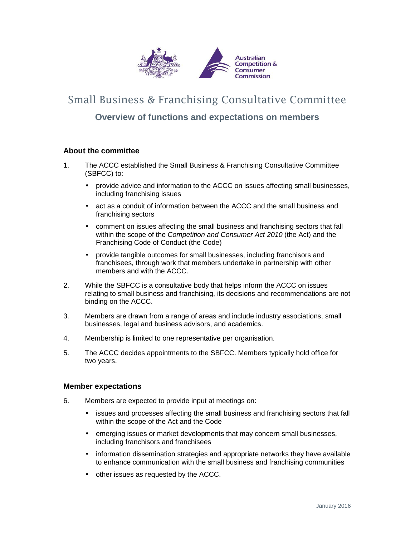

# Small Business & Franchising Consultative Committee

## **Overview of functions and expectations on members**

### **About the committee**

- 1. The ACCC established the Small Business & Franchising Consultative Committee (SBFCC) to:
	- provide advice and information to the ACCC on issues affecting small businesses, including franchising issues
	- act as a conduit of information between the ACCC and the small business and franchising sectors
	- comment on issues affecting the small business and franchising sectors that fall within the scope of the Competition and Consumer Act 2010 (the Act) and the Franchising Code of Conduct (the Code)
	- provide tangible outcomes for small businesses, including franchisors and franchisees, through work that members undertake in partnership with other members and with the ACCC.
- 2. While the SBFCC is a consultative body that helps inform the ACCC on issues relating to small business and franchising, its decisions and recommendations are not binding on the ACCC.
- 3. Members are drawn from a range of areas and include industry associations, small businesses, legal and business advisors, and academics.
- 4. Membership is limited to one representative per organisation.
- 5. The ACCC decides appointments to the SBFCC. Members typically hold office for two years.

#### **Member expectations**

- 6. Members are expected to provide input at meetings on:
	- issues and processes affecting the small business and franchising sectors that fall within the scope of the Act and the Code
	- emerging issues or market developments that may concern small businesses, including franchisors and franchisees
	- information dissemination strategies and appropriate networks they have available to enhance communication with the small business and franchising communities
	- other issues as requested by the ACCC.